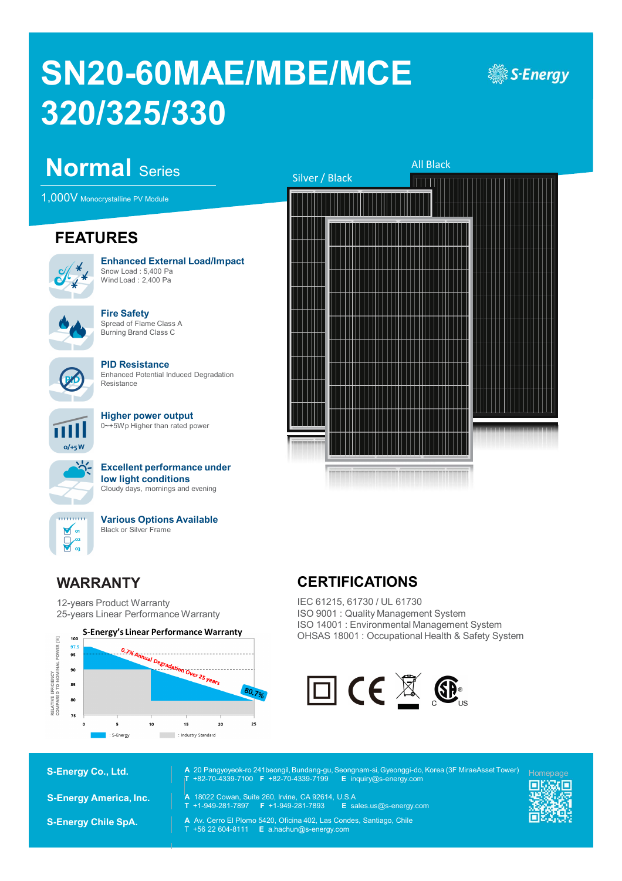# **SN20-60MAE/MBE/MCE 320/325/330**



# **Normal** Series

1,000V Monocrystalline PV Module

## **FEATURES**



**Enhanced External Load/Impact** Snow Load : 5,400 Pa Wind Load : 2,400 Pa



**Fire Safety** Spread of Flame Class A Burning Brand Class C



**PID Resistance** Enhanced Potential Induced Degradation Resistance



**Higher power output**  0~+5Wp Higher than rated power



**Excellent performance under low light conditions** Cloudy days, mornings and evening



**Various Options Available** Black or Silver Frame

#### **WARRANTY**

12-years Product Warranty 25-years Linear Performance Warranty





#### **CERTIFICATIONS**

**A** 20 Pangyoyeok-ro 241beongil, Bundang-gu, Seongnam-si, Gyeonggi-do, Korea (3F MiraeAsset Tower)

IEC 61215, 61730 / UL 61730 ISO 9001 : Quality Management System ISO 14001 : Environmental Management System OHSAS 18001 : Occupational Health & Safety System



**S-Energy Co., Ltd.**

**S-Energy America, Inc.**

**S-Energy Chile SpA.**

- **T** +82-70-4339-7100 **F** +82-70-4339-7199 **E** inquiry@s-energy.com **A** 18022 Cowan, Suite 260, Irvine, CA 92614, U.S.A
- **T** +1-949-281-7897 **F** +1-949-281-7893 **E** sales.us@s-energy.com
- **A** Av. Cerro El Plomo 5420, Oficina 402, Las Condes, Santiago, Chile T +56 22 604-8111 **E** a.hachun@s-energy.com